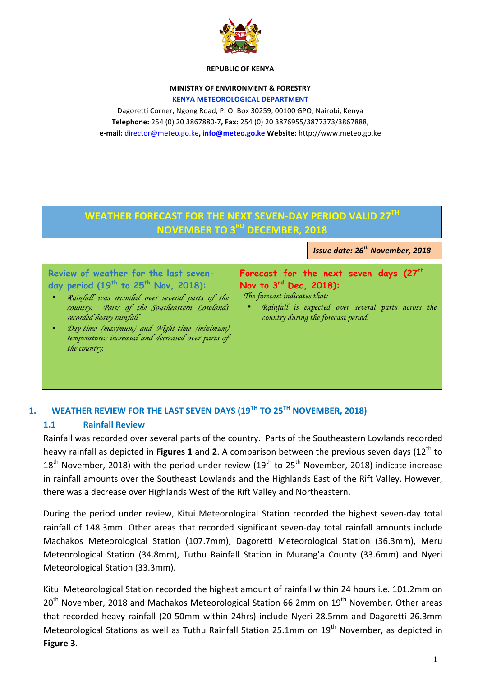

#### **REPUBLIC OF KENYA**

#### **MINISTRY OF ENVIRONMENT & FORESTRY KENYA METEOROLOGICAL DEPARTMENT**

Dagoretti Corner, Ngong Road, P. O. Box 30259, 00100 GPO, Nairobi, Kenya **Telephone:** 254 (0) 20 3867880-7**, Fax:** 254 (0) 20 3876955/3877373/3867888, **e-mail:** director@meteo.go.ke**, info@meteo.go.ke Website:** http://www.meteo.go.ke

# **WEATHER FORECAST FOR THE NEXT SEVEN-DAY PERIOD VALID 27TH NOVEMBER TO 3RD DECEMBER, 2018**

*Issue date: 26th November, 2018*

## **Review of weather for the last sevenday period (19th to 25th Nov, 2018):**

- *Rainfall was recorded over several parts of the country. Parts of the Southeastern Lowlands recorded heavy rainfall*
- *Day-time (maximum) and Night-time (minimum) temperatures increased and decreased over parts of the country.*

### **Forecast for the next seven days (27th Nov to 3rd Dec, 2018):** *The forecast indicates that:*

• *Rainfall is expected over several parts across the country during the forecast period.*

## 1. **WEATHER REVIEW FOR THE LAST SEVEN DAYS (19<sup>TH</sup> TO 25<sup>TH</sup> NOVEMBER, 2018)**

## **1.1 Rainfall Review**

Rainfall was recorded over several parts of the country. Parts of the Southeastern Lowlands recorded heavy rainfall as depicted in **Figures 1** and 2. A comparison between the previous seven days (12<sup>th</sup> to  $18<sup>th</sup>$  November, 2018) with the period under review (19<sup>th</sup> to 25<sup>th</sup> November, 2018) indicate increase in rainfall amounts over the Southeast Lowlands and the Highlands East of the Rift Valley. However, there was a decrease over Highlands West of the Rift Valley and Northeastern.

During the period under review, Kitui Meteorological Station recorded the highest seven-day total rainfall of 148.3mm. Other areas that recorded significant seven-day total rainfall amounts include Machakos Meteorological Station (107.7mm), Dagoretti Meteorological Station (36.3mm), Meru Meteorological Station (34.8mm), Tuthu Rainfall Station in Murang'a County (33.6mm) and Nyeri Meteorological Station (33.3mm).

Kitui Meteorological Station recorded the highest amount of rainfall within 24 hours i.e. 101.2mm on  $20<sup>th</sup>$  November, 2018 and Machakos Meteorological Station 66.2mm on  $19<sup>th</sup>$  November. Other areas that recorded heavy rainfall (20-50mm within 24hrs) include Nyeri 28.5mm and Dagoretti 26.3mm Meteorological Stations as well as Tuthu Rainfall Station 25.1mm on  $19<sup>th</sup>$  November, as depicted in **Figure 3**.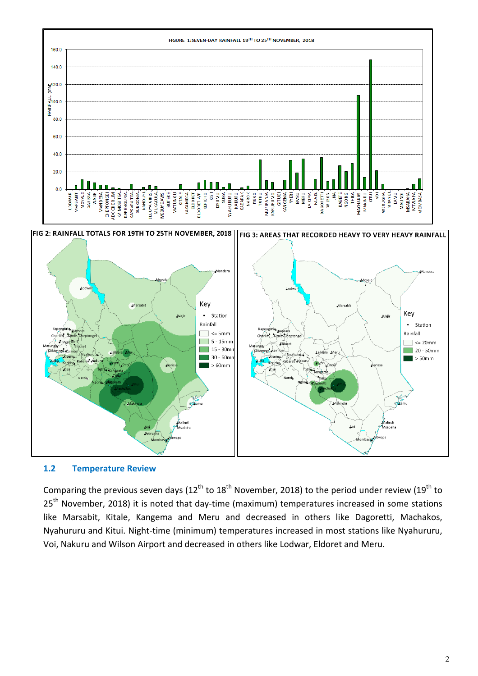

FIG 2: RAINFALL TOTALS FOR 19TH TO 25TH NOVEMBER, 2018 |FIG 3: AREAS THAT RECORDED HEAVY TO VERY HEAVY RAINFALL



**1.2 Temperature Review**

Comparing the previous seven days  $(12^{th}$  to  $18^{th}$  November, 2018) to the period under review  $(19^{th}$  to  $25<sup>th</sup>$  November, 2018) it is noted that day-time (maximum) temperatures increased in some stations like Marsabit, Kitale, Kangema and Meru and decreased in others like Dagoretti, Machakos, Nyahururu and Kitui. Night-time (minimum) temperatures increased in most stations like Nyahururu, Voi, Nakuru and Wilson Airport and decreased in others like Lodwar, Eldoret and Meru.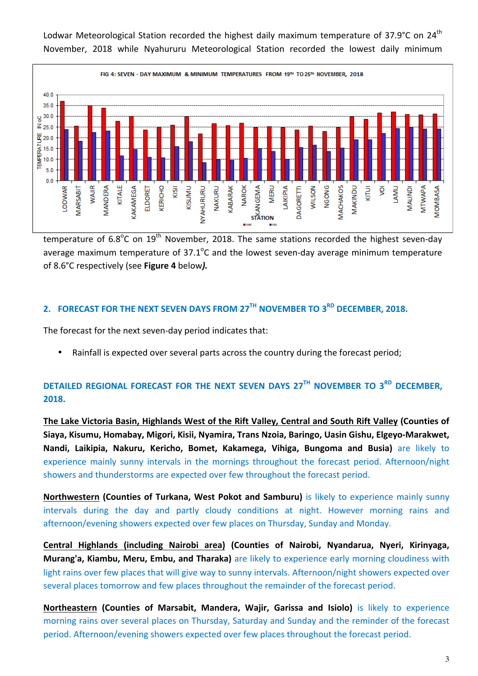Lodwar Meteorological Station recorded the highest daily maximum temperature of 37.9°C on 24<sup>th</sup> November, 2018 while Nyahururu Meteorological Station recorded the lowest daily minimum



temperature of 6.8<sup>o</sup>C on 19<sup>th</sup> November, 2018. The same stations recorded the highest seven-day average maximum temperature of 37.1 $^{\circ}$ C and the lowest seven-day average minimum temperature of 8.6°C respectively (see **Figure 4** below*).*

## **2. FORECAST FOR THE NEXT SEVEN DAYS FROM 27TH NOVEMBER TO 3RD DECEMBER, 2018.**

The forecast for the next seven-day period indicates that:

• Rainfall is expected over several parts across the country during the forecast period;

## **DETAILED REGIONAL FORECAST FOR THE NEXT SEVEN DAYS 27TH NOVEMBER TO 3<sup>RD</sup> DECEMBER. 2018.**

The Lake Victoria Basin, Highlands West of the Rift Valley, Central and South Rift Valley (Counties of Siaya, Kisumu, Homabay, Migori, Kisii, Nyamira, Trans Nzoia, Baringo, Uasin Gishu, Elgeyo-Marakwet, **Nandi, Laikipia, Nakuru, Kericho, Bomet, Kakamega, Vihiga, Bungoma and Busia)** are likely to experience mainly sunny intervals in the mornings throughout the forecast period. Afternoon/night showers and thunderstorms are expected over few throughout the forecast period.

**Northwestern (Counties of Turkana, West Pokot and Samburu)** is likely to experience mainly sunny intervals during the day and partly cloudy conditions at night. However morning rains and afternoon/evening showers expected over few places on Thursday, Sunday and Monday.

**Central Highlands (including Nairobi area) (Counties of Nairobi, Nyandarua, Nyeri, Kirinyaga, Murang'a, Kiambu, Meru, Embu, and Tharaka)** are likely to experience early morning cloudiness with light rains over few places that will give way to sunny intervals. Afternoon/night showers expected over several places tomorrow and few places throughout the remainder of the forecast period.

**Northeastern (Counties of Marsabit, Mandera, Wajir, Garissa and Isiolo)** is likely to experience morning rains over several places on Thursday, Saturday and Sunday and the reminder of the forecast period. Afternoon/evening showers expected over few places throughout the forecast period.